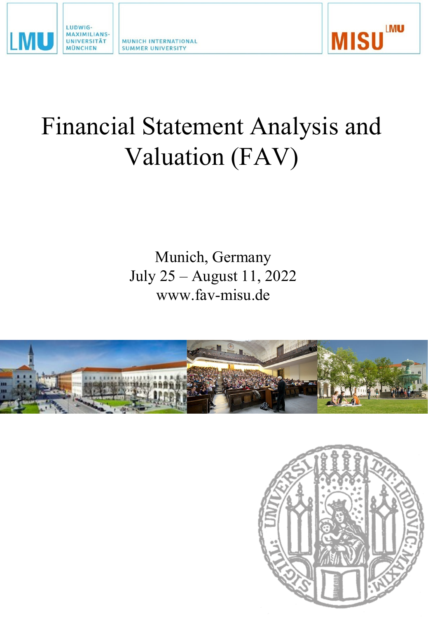

MUNICH INTERNATIONAL **SUMMER UNIVERSITY** 



# Financial Statement Analysis and Valuation (FAV)

Munich, Germany July 25 – August 11, 2022 www.fav-misu.de



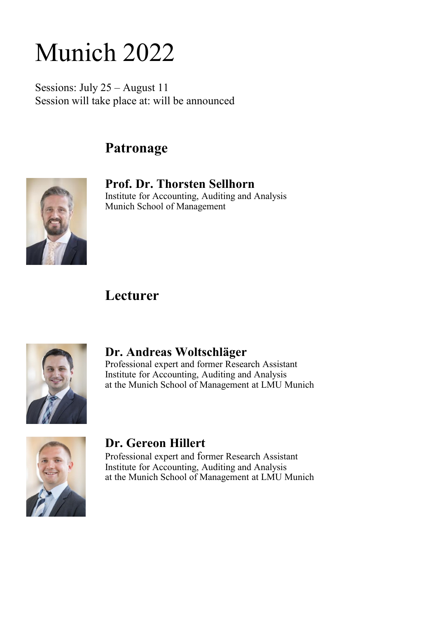# Munich 2022

Sessions: July 25 – August 11 Session will take place at: will be announced

## **Patronage**



**Prof. Dr. Thorsten Sellhorn** Institute for Accounting, Auditing and Analysis Munich School of Management

## **Lecturer**



### **Dr. Andreas Woltschläger**

Professional expert and former Research Assistant Institute for Accounting, Auditing and Analysis at the Munich School of Management at LMU Munich



### **Dr. Gereon Hillert**

Professional expert and former Research Assistant Institute for Accounting, Auditing and Analysis at the Munich School of Management at LMU Munich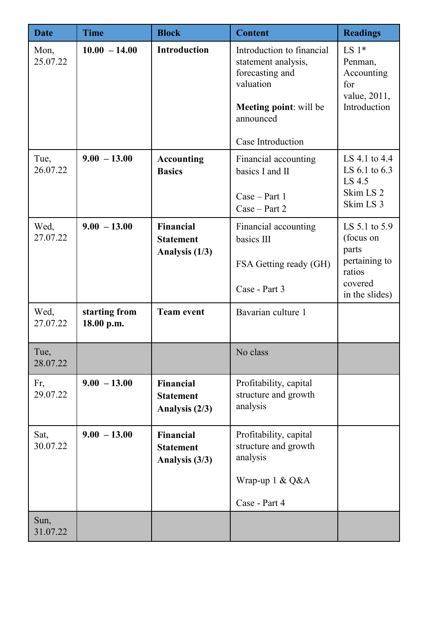| <b>Date</b>      | <b>Time</b>                 | <b>Block</b>                                           | <b>Content</b>                                                                                                                                      | <b>Readings</b>                                                                             |
|------------------|-----------------------------|--------------------------------------------------------|-----------------------------------------------------------------------------------------------------------------------------------------------------|---------------------------------------------------------------------------------------------|
| Mon,<br>25.07.22 | $10.00 - 14.00$             | <b>Introduction</b>                                    | Introduction to financial<br>statement analysis,<br>forecasting and<br>valuation<br><b>Meeting point:</b> will be<br>announced<br>Case Introduction | LS $1*$<br>Penman,<br>Accounting<br>for<br>value, 2011,<br>Introduction                     |
| Tue,<br>26.07.22 | $9.00 - 13.00$              | <b>Accounting</b><br><b>Basics</b>                     | Financial accounting<br>basics I and II<br>$Case - Part 1$<br>$Case - Part 2$                                                                       | LS 4.1 to 4.4<br>LS 6.1 to 6.3<br>LS 4.5<br>Skim LS <sub>2</sub><br>Skim LS 3               |
| Wed,<br>27.07.22 | $9.00 - 13.00$              | <b>Financial</b><br><b>Statement</b><br>Analysis (1/3) | Financial accounting<br>basics III<br>FSA Getting ready (GH)<br>Case - Part 3                                                                       | LS 5.1 to 5.9<br>(focus on<br>parts<br>pertaining to<br>ratios<br>covered<br>in the slides) |
| Wed,<br>27.07.22 | starting from<br>18.00 p.m. | <b>Team event</b>                                      | Bavarian culture 1                                                                                                                                  |                                                                                             |
| Tue,<br>28.07.22 |                             |                                                        | No class                                                                                                                                            |                                                                                             |
| Fr,<br>29.07.22  | $9.00 - 13.00$              | Financial<br><b>Statement</b><br>Analysis (2/3)        | Profitability, capital<br>structure and growth<br>analysis                                                                                          |                                                                                             |
| Sat,<br>30.07.22 | $9.00 - 13.00$              | Financial<br><b>Statement</b><br>Analysis (3/3)        | Profitability, capital<br>structure and growth<br>analysis<br>Wrap-up 1 & Q&A<br>Case - Part 4                                                      |                                                                                             |
| Sun,<br>31.07.22 |                             |                                                        |                                                                                                                                                     |                                                                                             |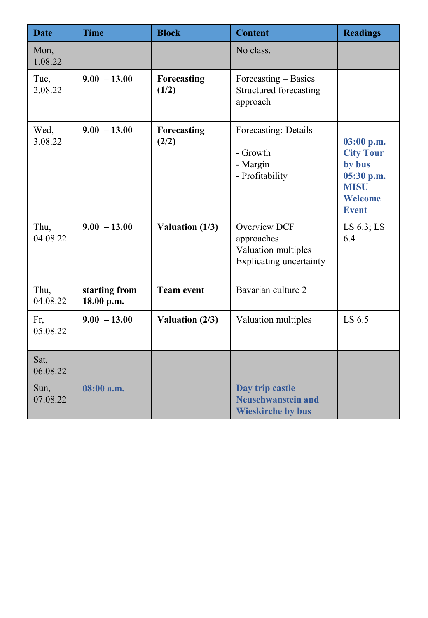| <b>Date</b>      | <b>Time</b>                 | <b>Block</b>         | <b>Content</b>                                                                             | <b>Readings</b>                                                                                  |
|------------------|-----------------------------|----------------------|--------------------------------------------------------------------------------------------|--------------------------------------------------------------------------------------------------|
| Mon,<br>1.08.22  |                             |                      | No class.                                                                                  |                                                                                                  |
| Tue,<br>2.08.22  | $9.00 - 13.00$              | Forecasting<br>(1/2) | Forecasting - Basics<br><b>Structured forecasting</b><br>approach                          |                                                                                                  |
| Wed,<br>3.08.22  | $9.00 - 13.00$              | Forecasting<br>(2/2) | Forecasting: Details<br>- Growth<br>- Margin<br>- Profitability                            | 03:00 p.m.<br><b>City Tour</b><br>by bus<br>05:30 p.m.<br><b>MISU</b><br>Welcome<br><b>Event</b> |
| Thu,<br>04.08.22 | $9.00 - 13.00$              | Valuation (1/3)      | <b>Overview DCF</b><br>approaches<br>Valuation multiples<br><b>Explicating uncertainty</b> | LS $6.3$ ; LS<br>6.4                                                                             |
| Thu,<br>04.08.22 | starting from<br>18.00 p.m. | <b>Team event</b>    | Bavarian culture 2                                                                         |                                                                                                  |
| Fr,<br>05.08.22  | $9.00 - 13.00$              | Valuation (2/3)      | Valuation multiples                                                                        | LS 6.5                                                                                           |
| Sat,<br>06.08.22 |                             |                      |                                                                                            |                                                                                                  |
| Sun,<br>07.08.22 | 08:00 a.m.                  |                      | Day trip castle<br><b>Neuschwanstein and</b><br><b>Wieskirche by bus</b>                   |                                                                                                  |